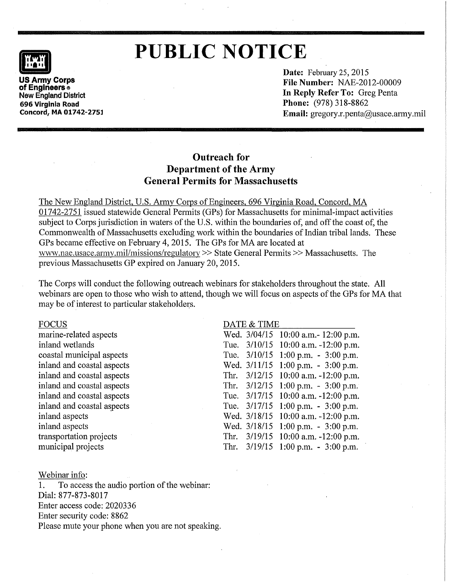

# **ILLE NOTICE**<br>US Army Corps<br>US Army Corps

**Drawing Corps New England District 696 Virginia Road Concord, MA 01742-275l**  **Date:** February 25, 2015 **File Number:** NAE-2012-00009 **In Reply Refer To:** Greg Penta **Phone:** (978) 318-8862 **Email:** gregory.r.penta@usace.army.mil

## **Outreach for Department of the Army General Permits for Massachusetts**

The New England District, U.S. Army Corps of Engineers, 696 Virginia Road, Concord, MA 01742-2751 issued statewide General Permits (GPs) for Massachusetts for minimal-impact activities subject to Corps jurisdiction in waters of the U.S. within the boundaries of, and off the coast of, the Commonwealth of Massachusetts excluding work within the boundaries of Indian tribal lands. These GPs became effective on February 4, 2015. The GPs for MA are located at www.nae.usace.army.mil/missions/regulatory >>State General Permits>> Massachusetts. The previous Massachusetts GP expired on January 20, 2015.

The Corps will conduct the following outreach webinars for stakeholders throughout the state. All webinars are open to those who wish to attend, though we will focus on aspects of the GPs for MA that may be of interest to particular stakeholders.

#### FOCUS

marine-related aspects inland wetlands coastal municipal aspects inland and coastal aspects inland and coastal aspects inland and coastal aspects inland and coastal aspects inland and coastal aspects inland aspects inland aspects transportation projects municipal projects

#### DATE & TIME

|      | Wed. 3/04/15 | 10:00 a.m. - 12:00 p.m.                 |
|------|--------------|-----------------------------------------|
|      | Tue. 3/10/15 | 10:00 a.m. -12:00 p.m.                  |
|      | Tue. 3/10/15 | 1:00 p.m. - 3:00 p.m.                   |
|      | Wed. 3/11/15 | 1:00 p.m. $-3:00$ p.m.                  |
| Thr. | 3/12/15      | $10:00$ a.m. $-12:00$ p.m.              |
|      | Thr. 3/12/15 | $1:00$ p.m. $-3:00$ p.m.                |
|      | Tue. 3/17/15 | 10:00 a.m. -12:00 p.m.                  |
|      | Tue. 3/17/15 | 1:00 p.m. - 3:00 p.m.                   |
|      | Wed. 3/18/15 | 10:00 a.m. $-12:00$ p.m.                |
|      | Wed. 3/18/15 | $1:00$ p.m. - $3:00$ p.m.               |
|      | Thr. 3/19/15 | 10:00 a.m. -12:00 p.m.                  |
|      | Thr. 3/19/15 | $1:00 \text{ p.m.} - 3:00 \text{ p.m.}$ |
|      |              |                                         |

#### Webinar info:

1. To access the audio portion of the webinar: Dial: 877-873-8017 Enter access code: 2020336 Enter security code: 8862 Please mute your phone when you are not speaking.